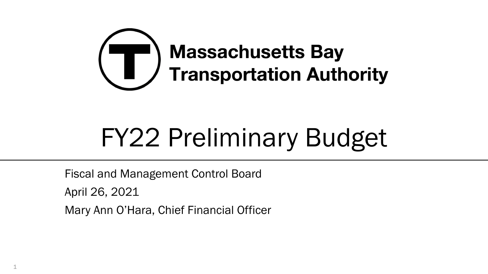

# FY22 Preliminary Budget

Fiscal and Management Control Board

April 26, 2021

1

Mary Ann O'Hara, Chief Financial Officer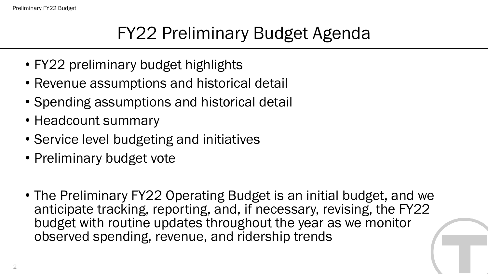# FY22 Preliminary Budget Agenda

- FY22 preliminary budget highlights
- Revenue assumptions and historical detail
- Spending assumptions and historical detail
- Headcount summary
- Service level budgeting and initiatives
- Preliminary budget vote
- The Preliminary FY22 Operating Budget is an initial budget, and we anticipate tracking, reporting, and, if necessary, revising, the FY22 budget with routine updates throughout the year as we monitor observed spending, revenue, and ridership trends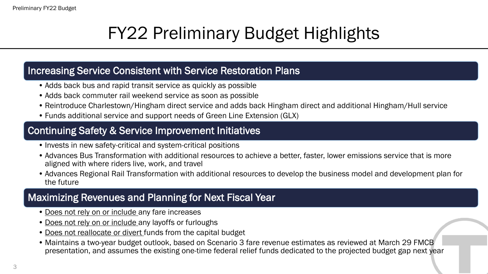# FY22 Preliminary Budget Highlights

#### Increasing Service Consistent with Service Restoration Plans

- Adds back bus and rapid transit service as quickly as possible
- Adds back commuter rail weekend service as soon as possible
- Reintroduce Charlestown/Hingham direct service and adds back Hingham direct and additional Hingham/Hull service
- Funds additional service and support needs of Green Line Extension (GLX)

#### Continuing Safety & Service Improvement Initiatives

- Invests in new safety-critical and system-critical positions
- Advances Bus Transformation with additional resources to achieve a better, faster, lower emissions service that is more aligned with where riders live, work, and travel
- Advances Regional Rail Transformation with additional resources to develop the business model and development plan for the future

#### Maximizing Revenues and Planning for Next Fiscal Year

- Does not rely on or include any fare increases
- Does not rely on or include any layoffs or furloughs
- Does not reallocate or divert funds from the capital budget
- Maintains a two-year budget outlook, based on Scenario 3 fare revenue estimates as reviewed at March 29 FMCB presentation, and assumes the existing one-time federal relief funds dedicated to the projected budget gap next year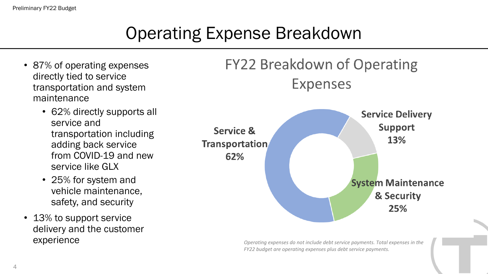### Operating Expense Breakdown

- 87% of operating expenses directly tied to service transportation and system maintenance
	- 62% directly supports all service and transportation including adding back service from COVID-19 and new service like GLX
	- 25% for system and vehicle maintenance, safety, and security
- 13% to support service delivery and the customer



experience *COPERIENCE* **COPERIENCE Operating expenses do not include debt service payments. Total expenses in the** *FY22 budget are operating expenses plus debt service payments.*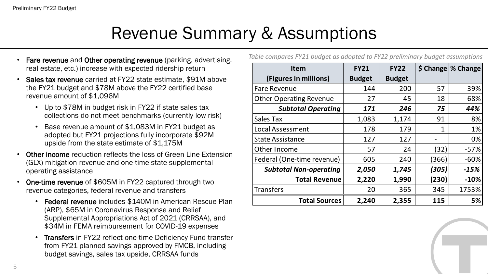#### Revenue Summary & Assumptions

- Fare revenue and Other operating revenue (parking, advertising, real estate, etc.) increase with expected ridership return
- Sales tax revenue carried at FY22 state estimate, \$91M above the FY21 budget and \$78M above the FY22 certified base revenue amount of \$1,096M
	- Up to \$78M in budget risk in FY22 if state sales tax collections do not meet benchmarks (currently low risk)
	- Base revenue amount of \$1,083M in FY21 budget as adopted but FY21 projections fully incorporate \$92M upside from the state estimate of \$1,175M
- Other income reduction reflects the loss of Green Line Extension (GLX) mitigation revenue and one-time state supplemental operating assistance
- One-time revenue of \$605M in FY22 captured through two revenue categories, federal revenue and transfers
	- Federal revenue includes \$140M in American Rescue Plan (ARP), \$65M in Coronavirus Response and Relief Supplemental Appropriations Act of 2021 (CRRSAA), and \$34M in FEMA reimbursement for COVID-19 expenses
	- Transfers in FY22 reflect one-time Deficiency Fund transfer from FY21 planned savings approved by FMCB, including budget savings, sales tax upside, CRRSAA funds

|  |  |  |  |  |  |  |  |  | Table compares FY21 budget as adopted to FY22 preliminary budget assumptions |
|--|--|--|--|--|--|--|--|--|------------------------------------------------------------------------------|
|--|--|--|--|--|--|--|--|--|------------------------------------------------------------------------------|

| <b>Item</b>                    | <b>FY21</b>   | <b>FY22</b>   |       | \$ Change \% Change |
|--------------------------------|---------------|---------------|-------|---------------------|
| (Figures in millions)          | <b>Budget</b> | <b>Budget</b> |       |                     |
| <b>Fare Revenue</b>            | 144           | 200           | 57    | 39%                 |
| <b>Other Operating Revenue</b> | 27            | 45            | 18    | 68%                 |
| <b>Subtotal Operating</b>      | 171           | 246           | 75    | 44%                 |
| <b>Sales Tax</b>               | 1,083         | 1,174         | 91    | 8%                  |
| Local Assessment               | 178           | 179           | 1     | 1%                  |
| <b>State Assistance</b>        | 127           | 127           |       | 0%                  |
| Other Income                   | 57            | 24            | (32)  | $-57%$              |
| Federal (One-time revenue)     | 605           | 240           | (366) | $-60%$              |
| <b>Subtotal Non-operating</b>  | 2,050         | 1,745         | (305) | $-15%$              |
| <b>Total Revenue</b>           | 2,220         | 1,990         | (230) | $-10%$              |
| <b>Transfers</b>               | 20            | 365           | 345   | 1753%               |
| <b>Total Sources</b>           | 2,240         | 2,355         | 115   | 5%                  |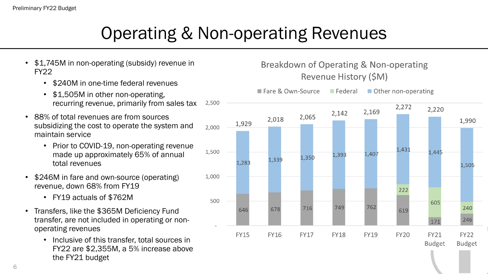### Operating & Non-operating Revenues

- \$1,745M in non-operating (subsidy) revenue in FY22
	- \$240M in one-time federal revenues
	- \$1,505M in other non-operating. recurring revenue, primarily from sales tax
- 88% of total revenues are from sources subsidizing the cost to operate the system and maintain service
	- Prior to COVID-19, non-operating revenue made up approximately 65% of annual total revenues
- \$246M in fare and own-source (operating) revenue, down 68% from FY19
	- FY19 actuals of \$762M
- Transfers, like the \$365M Deficiency Fund transfer, are not included in operating or nonoperating revenues
	- Inclusive of this transfer, total sources in FY22 are \$2,355M, a 5% increase above the FY21 budget

#### Breakdown of Operating & Non-operating Revenue History (\$M)

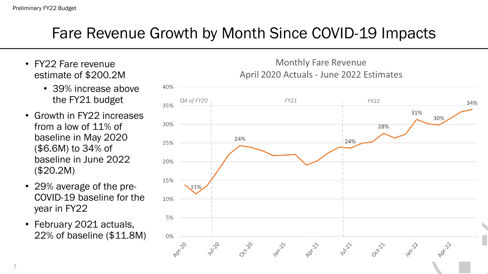#### Fare Revenue Growth by Month Since COVID-19 Impacts

- FY22 Fare revenue estimate of \$200.2M
	- 39% increase above the FY21 budget
- Growth in FY22 increases from a low of 11% of baseline in May 2020 (\$6.6M) to 34% of baseline in June 2022 (\$20.2M)
- 29% average of the pre-COVID-19 baseline for the year in FY22
- February 2021 actuals, 22% of baseline (\$11.8M)

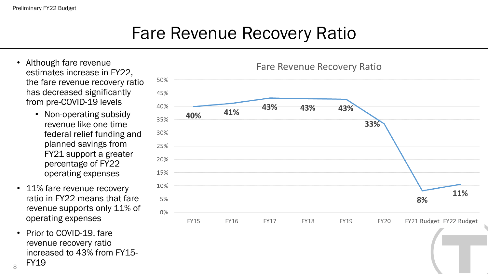#### Fare Revenue Recovery Ratio

- Although fare revenue estimates increase in FY22, the fare revenue recovery ratio has decreased significantly from pre-COVID-19 levels
	- Non-operating subsidy revenue like one-time federal relief funding and planned savings from FY21 support a greater percentage of FY22 operating expenses
- 11% fare revenue recovery ratio in FY22 means that fare revenue supports only 11% of operating expenses
- Prior to COVID-19, fare revenue recovery ratio increased to 43% from FY15- FY19

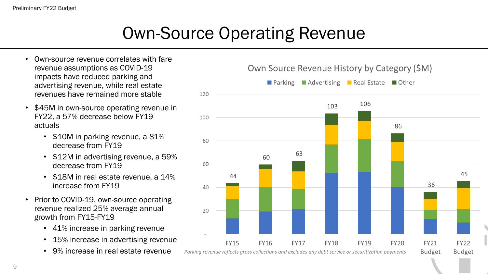# Own-Source Operating Revenue

- Own-source revenue correlates with fare revenue assumptions as COVID-19 impacts have reduced parking and advertising revenue, while real estate revenues have remained more stable
- \$45M in own-source operating revenue in FY22, a 57% decrease below FY19 actuals
	- \$10M in parking revenue, a 81% decrease from FY19
	- \$12M in advertising revenue, a 59% decrease from FY19
	- \$18M in real estate revenue, a 14% increase from FY19
- Prior to COVID-19, own-source operating revenue realized 25% average annual growth from FY15-FY19
	- 41% increase in parking revenue
	- 15% increase in advertising revenue
	-

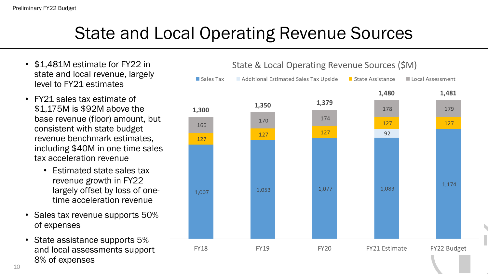#### State and Local Operating Revenue Sources

- \$1,481M estimate for FY22 in state and local revenue, largely level to FY21 estimates
- FY21 sales tax estimate of \$1,175M is \$92M above the base revenue (floor) amount, but consistent with state budget revenue benchmark estimates, including \$40M in one-time sales tax acceleration revenue
	- Estimated state sales tax revenue growth in FY22 largely offset by loss of onetime acceleration revenue
- Sales tax revenue supports 50% of expenses
- State assistance supports 5% and local assessments support 8% of expenses

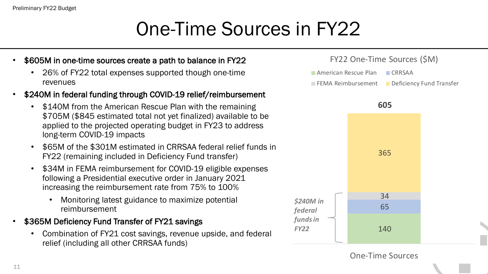#### Preliminary FY22 Budget

# One-Time Sources in FY22

#### • \$605M in one-time sources create a path to balance in FY22

- 26% of FY22 total expenses supported though one-time revenues
- \$240M in federal funding through COVID-19 relief/reimbursement
	- \$140M from the American Rescue Plan with the remaining \$705M (\$845 estimated total not yet finalized) available to be applied to the projected operating budget in FY23 to address long-term COVID-19 impacts
	- \$65M of the \$301M estimated in CRRSAA federal relief funds in FY22 (remaining included in Deficiency Fund transfer)
	- \$34M in FEMA reimbursement for COVID-19 eligible expenses following a Presidential executive order in January 2021 increasing the reimbursement rate from 75% to 100%
		- Monitoring latest guidance to maximize potential reimbursement
- \$365M Deficiency Fund Transfer of FY21 savings
	- Combination of FY21 cost savings, revenue upside, and federal relief (including all other CRRSAA funds)



One-Time Sources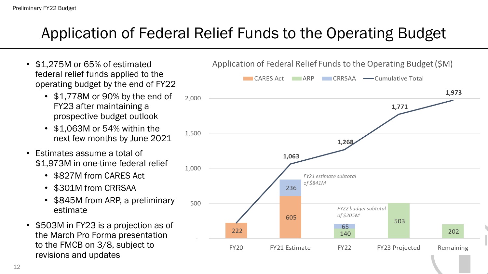#### Application of Federal Relief Funds to the Operating Budget

1.500

1,000

500

**FY20** 

FY21 Estimate

- \$1,275M or 65% of estimated federal relief funds applied to the operating budget by the end of FY22
	- \$1,778M or 90% by the end of 2,000 FY23 after maintaining a prospective budget outlook
	- \$1,063M or 54% within the next few months by June 2021
- Estimates assume a total of \$1,973M in one-time federal relief
	- \$827M from CARES Act
	- \$301M from CRRSAA
	- \$845M from ARP, a preliminary estimate
- \$503M in FY23 is a projection as of the March Pro Forma presentation to the FMCB on 3/8, subject to revisions and updates

Application of Federal Relief Funds to the Operating Budget (\$M) **CARES Act ARP** CRRSAA Cumulative Total 1,973 1,771 1,268 1,063 FY21 estimate subtotal of \$841M 236 FY22 budget subtotal of \$205M 605 503 65 222 202 140

**FY22** 

FY23 Projected

Remaining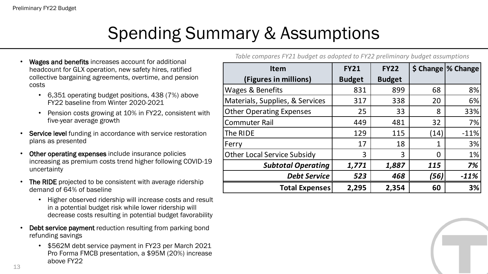# Spending Summary & Assumptions

- Wages and benefits increases account for additional headcount for GLX operation, new safety hires, ratified collective bargaining agreements, overtime, and pension costs
	- 6,351 operating budget positions, 438 (7%) above FY22 baseline from Winter 2020-2021
	- Pension costs growing at 10% in FY22, consistent with five-year average growth
- Service level funding in accordance with service restoration plans as presented
- Other operating expenses include insurance policies increasing as premium costs trend higher following COVID-19 uncertainty
- The RIDE projected to be consistent with average ridership demand of 64% of baseline
	- Higher observed ridership will increase costs and result in a potential budget risk while lower ridership will decrease costs resulting in potential budget favorability
- **Debt service payment** reduction resulting from parking bond refunding savings
	- \$562M debt service payment in FY23 per March 2021 Pro Forma FMCB presentation, a \$95M (20%) increase above FY22

*Table compares FY21 budget as adopted to FY22 preliminary budget assumptions*

| <b>Item</b>                        | <b>FY21</b>   | <b>FY22</b>   |                | \$ Change \% Change |
|------------------------------------|---------------|---------------|----------------|---------------------|
| (Figures in millions)              | <b>Budget</b> | <b>Budget</b> |                |                     |
| Wages & Benefits                   | 831           | 899           | 68             | 8%                  |
| Materials, Supplies, & Services    | 317           | 338           | 20             | 6%                  |
| <b>Other Operating Expenses</b>    | 25            | 33            | 8              | 33%                 |
| <b>Commuter Rail</b>               | 449           | 481           | 32             | 7%                  |
| The RIDE                           | 129           | 115           | (14)           | $-11%$              |
| Ferry                              | 17            | 18            | 1              | 3%                  |
| <b>Other Local Service Subsidy</b> | 3             | 3             | $\overline{0}$ | 1%                  |
| <b>Subtotal Operating</b>          | 1,771         | 1,887         | 115            | 7%                  |
| <b>Debt Service</b>                | 523           | 468           | (56)           | $-11%$              |
| <b>Total Expenses</b>              | 2,295         | 2,354         | 60             | 3%                  |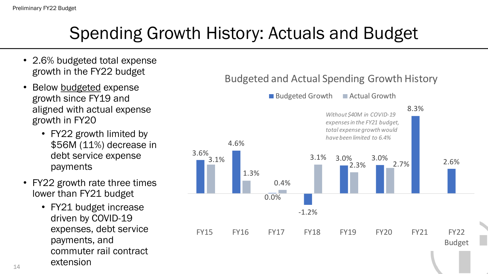# Spending Growth History: Actuals and Budget

- 2.6% budgeted total expense growth in the FY22 budget
- Below budgeted expense growth since FY19 and aligned with actual expense growth in FY20
	- FY22 growth limited by \$56M (11%) decrease in debt service expense payments
- FY22 growth rate three times lower than FY21 budget
	- FY21 budget increase driven by COVID-19 expenses, debt service payments, and commuter rail contract extension

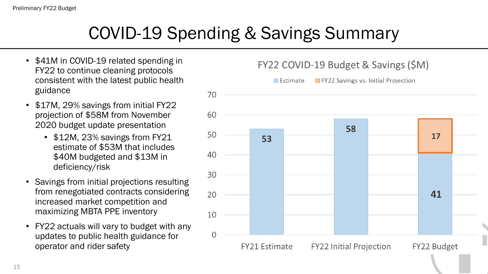#### COVID-19 Spending & Savings Summary

- \$41M in COVID-19 related spending in FY22 to continue cleaning protocols consistent with the latest public health guidance
- \$17M, 29% savings from initial FY22 projection of \$58M from November 2020 budget update presentation
	- \$12M, 23% savings from FY21 estimate of \$53M that includes \$40M budgeted and \$13M in deficiency/risk
- Savings from initial projections resulting from renegotiated contracts considering increased market competition and maximizing MBTA PPE inventory
- FY22 actuals will vary to budget with any updates to public health guidance for operator and rider safety

FY22 COVID-19 Budget & Savings (\$M)

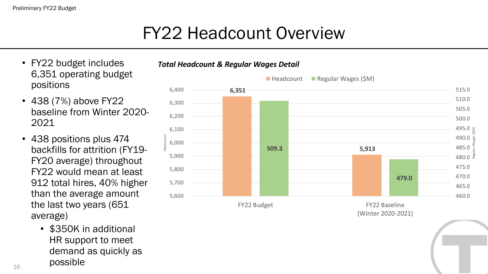### FY22 Headcount Overview

*Total Headcount & Regular Wages Detail*

Headcount

- FY22 budget includes 6,351 operating budget positions
- 438 (7%) above FY22 baseline from Winter 2020- 2021
- 438 positions plus 474 backfills for attrition (FY19- FY20 average) throughout FY22 would mean at least 912 total hires, 40% higher than the average amount the last two years (651 average)
	- \$350K in additional HR support to meet demand as quickly as possible

#### **6,351 509.3 5,913 479.0**  460.0 465.0 470.0 475.0  $480.0$   $\approx$ 485.0 490.0 495.0  $\frac{2}{5}$ 500.0 505.0 510.0 515.0 5,600 5,700 5,800 5,900 6,000 6,100 6,200 6,300 6,400 FY22 Budget FY22 Baseline Regular Wages (\$M)  $\blacksquare$  Headcount  $\blacksquare$  Regular Wages (\$M)

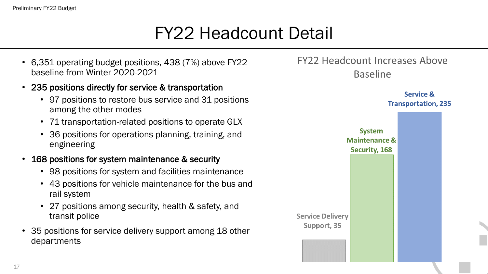### FY22 Headcount Detail

- 6,351 operating budget positions, 438 (7%) above FY22 baseline from Winter 2020-2021
- 235 positions directly for service & transportation
	- 97 positions to restore bus service and 31 positions among the other modes
	- 71 transportation-related positions to operate GLX
	- 36 positions for operations planning, training, and engineering
- 168 positions for system maintenance & security
	- 98 positions for system and facilities maintenance
	- 43 positions for vehicle maintenance for the bus and rail system
	- 27 positions among security, health & safety, and transit police
- 35 positions for service delivery support among 18 other departments

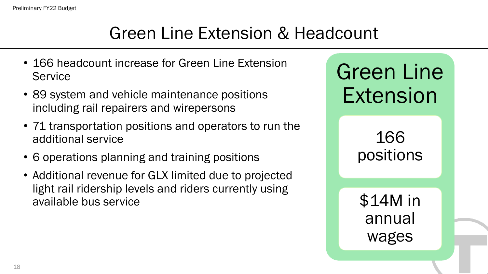#### Green Line Extension & Headcount

- 166 headcount increase for Green Line Extension **Service**
- 89 system and vehicle maintenance positions including rail repairers and wirepersons
- 71 transportation positions and operators to run the additional service
- 6 operations planning and training positions
- Additional revenue for GLX limited due to projected light rail ridership levels and riders currently using available bus service

Green Line Extension

> 166 positions

\$14M in annual wages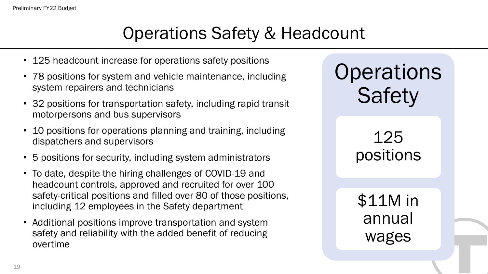#### Operations Safety & Headcount

- 125 headcount increase for operations safety positions
- 78 positions for system and vehicle maintenance, including system repairers and technicians
- 32 positions for transportation safety, including rapid transit motorpersons and bus supervisors
- 10 positions for operations planning and training, including dispatchers and supervisors
- 5 positions for security, including system administrators
- To date, despite the hiring challenges of COVID-19 and headcount controls, approved and recruited for over 100 safety-critical positions and filled over 80 of those positions, including 12 employees in the Safety department
- Additional positions improve transportation and system safety and reliability with the added benefit of reducing overtime

**Operations Safety** 

> 125 positions

\$11M in annual wages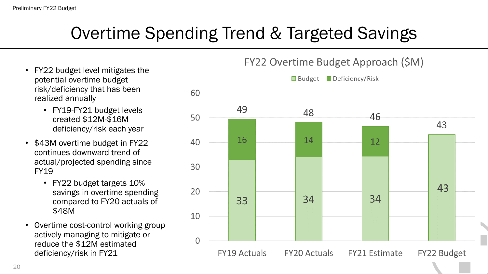# Overtime Spending Trend & Targeted Savings

- FY22 budget level mitigates the potential overtime budget risk/deficiency that has been realized annually
	- FY19-FY21 budget levels created \$12M-\$16M deficiency/risk each year
- \$43M overtime budget in FY22 continues downward trend of actual/projected spending since FY19
	- FY22 budget targets 10% savings in overtime spending compared to FY20 actuals of \$48M
- Overtime cost-control working group actively managing to mitigate or reduce the \$12M estimated deficiency/risk in FY21

FY22 Overtime Budget Approach (\$M)

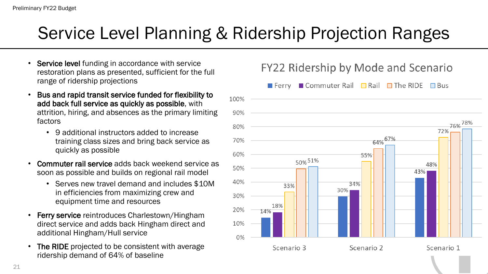#### Service Level Planning & Ridership Projection Ranges

- Service level funding in accordance with service restoration plans as presented, sufficient for the full range of ridership projections
- Bus and rapid transit service funded for flexibility to add back full service as quickly as possible, with attrition, hiring, and absences as the primary limiting factors
	- 9 additional instructors added to increase training class sizes and bring back service as quickly as possible
- Commuter rail service adds back weekend service as soon as possible and builds on regional rail model
	- Serves new travel demand and includes \$10M in efficiencies from maximizing crew and equipment time and resources
- Ferry service reintroduces Charlestown/Hingham direct service and adds back Hingham direct and additional Hingham/Hull service
- The RIDE projected to be consistent with average ridership demand of 64% of baseline

#### ■ Commuter Rail  $\Box$  Rail  $\Box$  The RIDE  $\Box$  Bus  $\blacksquare$  Ferry 100% 90% 76%<sup>78%</sup> 80% 72% 64% 67% 70% 60% 55% 50% 51% 48% 50% 43% 40% 34% 33% 30% 30% 18% 20% 14% 10%  $0%$ Scenario 3 Scenario 2 Scenario 1

#### FY22 Ridership by Mode and Scenario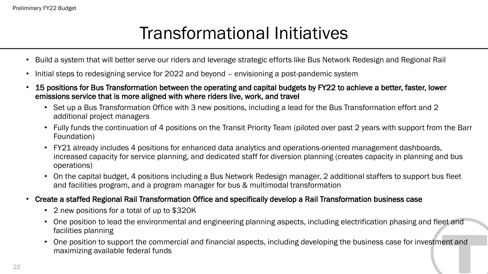#### Transformational Initiatives

- Build a system that will better serve our riders and leverage strategic efforts like Bus Network Redesign and Regional Rail
- Initial steps to redesigning service for 2022 and beyond envisioning a post-pandemic system
- 15 positions for Bus Transformation between the operating and capital budgets by FY22 to achieve a better, faster, lower emissions service that is more aligned with where riders live, work, and travel
	- Set up a Bus Transformation Office with 3 new positions, including a lead for the Bus Transformation effort and 2 additional project managers
	- Fully funds the continuation of 4 positions on the Transit Priority Team (piloted over past 2 years with support from the Barr Foundation)
	- FY21 already includes 4 positions for enhanced data analytics and operations-oriented management dashboards, increased capacity for service planning, and dedicated staff for diversion planning (creates capacity in planning and bus operations)
	- On the capital budget, 4 positions including a Bus Network Redesign manager, 2 additional staffers to support bus fleet and facilities program, and a program manager for bus & multimodal transformation
- Create a staffed Regional Rail Transformation Office and specifically develop a Rail Transformation business case
	- 2 new positions for a total of up to \$320K
	- One position to lead the environmental and engineering planning aspects, including electrification phasing and fleet and facilities planning
	- One position to support the commercial and financial aspects, including developing the business case for investment and maximizing available federal funds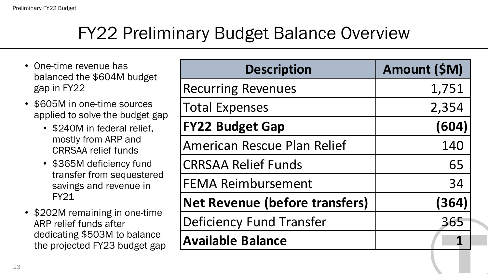#### FY22 Preliminary Budget Balance Overview

- One-time revenue has balanced the \$604M budget gap in FY22
- \$605M in one-time sources applied to solve the budget gap
	- \$240M in federal relief, mostly from ARP and CRRSAA relief funds
	- \$365M deficiency fund transfer from sequestered savings and revenue in FY21
- \$202M remaining in one-time ARP relief funds after dedicating \$503M to balance the projected FY23 budget gap

| <b>Description</b>                    | Amount (\$M) |
|---------------------------------------|--------------|
| <b>Recurring Revenues</b>             | 1,751        |
| <b>Total Expenses</b>                 | 2,354        |
| <b>FY22 Budget Gap</b>                | (604)        |
| <b>American Rescue Plan Relief</b>    | 140          |
| <b>CRRSAA Relief Funds</b>            | 65           |
| <b>FEMA Reimbursement</b>             | 34           |
| <b>Net Revenue (before transfers)</b> | (364)        |
| <b>Deficiency Fund Transfer</b>       | 365          |
| <b>Available Balance</b>              |              |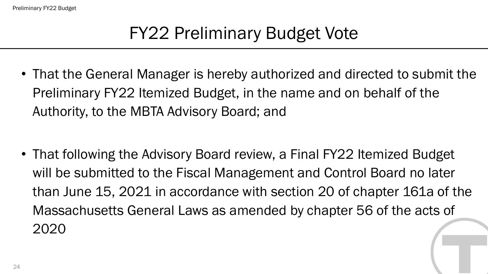# FY22 Preliminary Budget Vote

• That the General Manager is hereby authorized and directed to submit the Preliminary FY22 Itemized Budget, in the name and on behalf of the Authority, to the MBTA Advisory Board; and

• That following the Advisory Board review, a Final FY22 Itemized Budget will be submitted to the Fiscal Management and Control Board no later than June 15, 2021 in accordance with section 20 of chapter 161a of the Massachusetts General Laws as amended by chapter 56 of the acts of 2020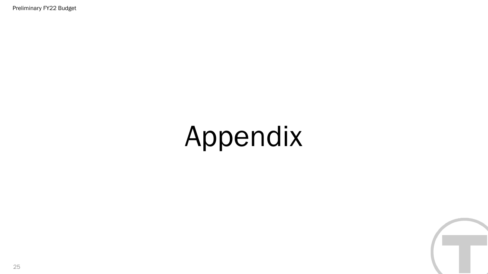Preliminary FY22 Budget

# Appendix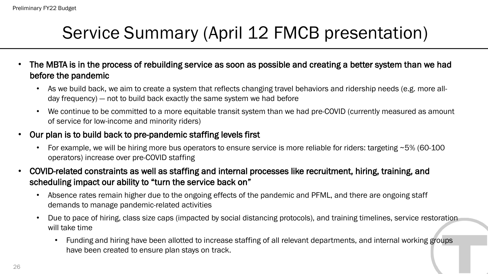### Service Summary (April 12 FMCB presentation)

- The MBTA is in the process of rebuilding service as soon as possible and creating a better system than we had before the pandemic
	- As we build back, we aim to create a system that reflects changing travel behaviors and ridership needs (e.g. more allday frequency) — not to build back exactly the same system we had before
	- We continue to be committed to a more equitable transit system than we had pre-COVID (currently measured as amount of service for low-income and minority riders)
- Our plan is to build back to pre-pandemic staffing levels first
	- For example, we will be hiring more bus operators to ensure service is more reliable for riders: targeting ~5% (60-100 operators) increase over pre-COVID staffing
- COVID-related constraints as well as staffing and internal processes like recruitment, hiring, training, and scheduling impact our ability to "turn the service back on"
	- Absence rates remain higher due to the ongoing effects of the pandemic and PFML, and there are ongoing staff demands to manage pandemic-related activities
	- Due to pace of hiring, class size caps (impacted by social distancing protocols), and training timelines, service restoration will take time
		- Funding and hiring have been allotted to increase staffing of all relevant departments, and internal working groups have been created to ensure plan stays on track.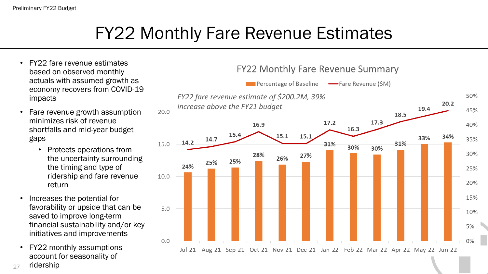#### FY22 Monthly Fare Revenue Estimates

- FY22 fare revenue estimates based on observed monthly actuals with assumed growth as economy recovers from COVID-19 impacts
- Fare revenue growth assumption minimizes risk of revenue shortfalls and mid-year budget gaps
	- Protects operations from the uncertainty surrounding the timing and type of ridership and fare revenue return
- Increases the potential for favorability or upside that can be saved to improve long-term financial sustainability and/or key initiatives and improvements
- FY22 monthly assumptions account for seasonality of